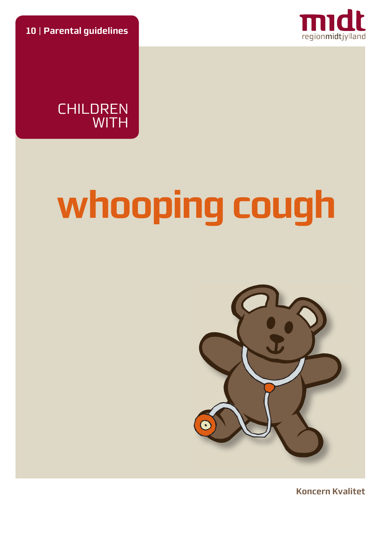**10** | **Parental guidelines**





# **whooping cough**



**Koncern Kvalitet**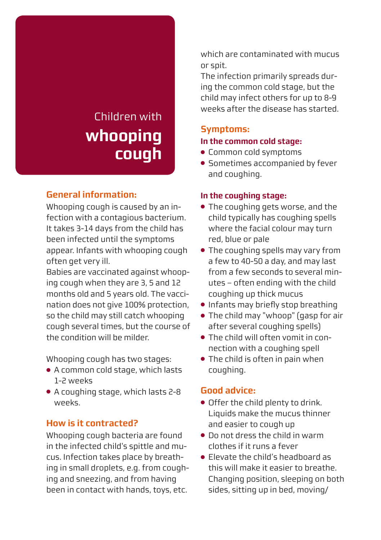# Children with **whooping cough**

# **General information:**

Whooping cough is caused by an infection with a contagious bacterium. It takes 3-14 days from the child has been infected until the symptoms appear. Infants with whooping cough often get very ill.

Babies are vaccinated against whooping cough when they are 3, 5 and 12 months old and 5 years old. The vaccination does not give 100% protection, so the child may still catch whooping cough several times, but the course of the condition will be milder.

Whooping cough has two stages:

- A common cold stage, which lasts 1-2 weeks
- A coughing stage, which lasts 2-8 weeks.

# **How is it contracted?**

Whooping cough bacteria are found in the infected child's spittle and mucus. Infection takes place by breathing in small droplets, e.g. from coughing and sneezing, and from having been in contact with hands, toys, etc.

which are contaminated with mucus or spit.

The infection primarily spreads during the common cold stage, but the child may infect others for up to 8-9 weeks after the disease has started.

#### **Symptoms:**

### **In the common cold stage:**

- Common cold symptoms
- Sometimes accompanied by fever and coughing.

#### **In the coughing stage:**

- The coughing gets worse, and the child typically has coughing spells where the facial colour may turn red, blue or pale
- The coughing spells may vary from a few to 40-50 a day, and may last from a few seconds to several minutes – often ending with the child coughing up thick mucus
- Infants may briefly stop breathing
- The child may "whoop" (gasp for air after several coughing spells)
- The child will often vomit in connection with a coughing spell
- The child is often in pain when coughing.

#### **Good advice:**

- Offer the child plenty to drink. Liquids make the mucus thinner and easier to cough up
- Do not dress the child in warm clothes if it runs a fever
- Elevate the child's headboard as this will make it easier to breathe. Changing position, sleeping on both sides, sitting up in bed, moving/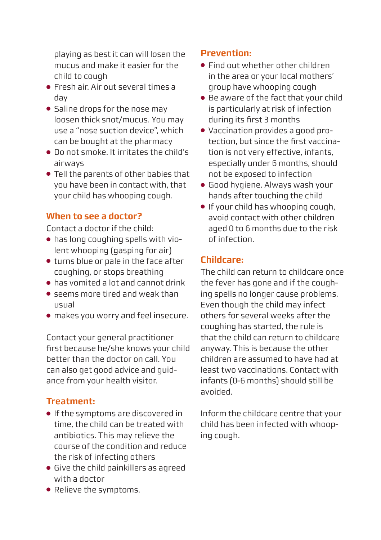playing as best it can will losen the mucus and make it easier for the child to cough

- Fresh air. Air out several times a day
- Saline drops for the nose may loosen thick snot/mucus. You may use a "nose suction device", which can be bought at the pharmacy
- Do not smoke. It irritates the child's airways
- Tell the parents of other babies that you have been in contact with, that your child has whooping cough.

# **When to see a doctor?**

Contact a doctor if the child:

- has long coughing spells with violent whooping (gasping for air)
- turns blue or pale in the face after coughing, or stops breathing
- has vomited a lot and cannot drink
- seems more tired and weak than usual
- makes you worry and feel insecure.

Contact your general practitioner first because he/she knows your child better than the doctor on call. You can also get good advice and guidance from your health visitor.

# **Treatment:**

- If the symptoms are discovered in time, the child can be treated with antibiotics. This may relieve the course of the condition and reduce the risk of infecting others
- Give the child painkillers as agreed with a doctor
- Relieve the symptoms.

# **Prevention:**

- Find out whether other children in the area or your local mothers' group have whooping cough
- Be aware of the fact that your child is particularly at risk of infection during its first 3 months
- Vaccination provides a good protection, but since the first vaccination is not very effective, infants, especially under 6 months, should not be exposed to infection
- Good hygiene. Always wash your hands after touching the child
- If your child has whooping cough, avoid contact with other children aged 0 to 6 months due to the risk of infection.

# **Childcare:**

The child can return to childcare once the fever has gone and if the coughing spells no longer cause problems. Even though the child may infect others for several weeks after the coughing has started, the rule is that the child can return to childcare anyway. This is because the other children are assumed to have had at least two vaccinations. Contact with infants (0-6 months) should still be avoided.

Inform the childcare centre that your child has been infected with whooping cough.